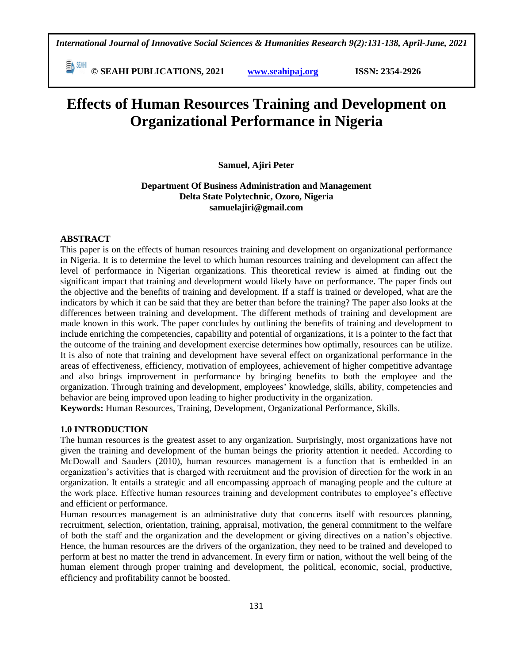**© SEAHI PUBLICATIONS, 2021 [www.seahipaj.org](http://www.seahipaj.org/) ISSN: 2354-2926** 

# **Effects of Human Resources Training and Development on Organizational Performance in Nigeria**

**Samuel, Ajiri Peter** 

**Department Of Business Administration and Management Delta State Polytechnic, Ozoro, Nigeria samuelajiri@gmail.com**

# **ABSTRACT**

This paper is on the effects of human resources training and development on organizational performance in Nigeria. It is to determine the level to which human resources training and development can affect the level of performance in Nigerian organizations. This theoretical review is aimed at finding out the significant impact that training and development would likely have on performance. The paper finds out the objective and the benefits of training and development. If a staff is trained or developed, what are the indicators by which it can be said that they are better than before the training? The paper also looks at the differences between training and development. The different methods of training and development are made known in this work. The paper concludes by outlining the benefits of training and development to include enriching the competencies, capability and potential of organizations, it is a pointer to the fact that the outcome of the training and development exercise determines how optimally, resources can be utilize. It is also of note that training and development have several effect on organizational performance in the areas of effectiveness, efficiency, motivation of employees, achievement of higher competitive advantage and also brings improvement in performance by bringing benefits to both the employee and the organization. Through training and development, employees' knowledge, skills, ability, competencies and behavior are being improved upon leading to higher productivity in the organization.

**Keywords:** Human Resources, Training, Development, Organizational Performance, Skills.

# **1.0 INTRODUCTION**

The human resources is the greatest asset to any organization. Surprisingly, most organizations have not given the training and development of the human beings the priority attention it needed. According to McDowall and Sauders (2010), human resources management is a function that is embedded in an organization's activities that is charged with recruitment and the provision of direction for the work in an organization. It entails a strategic and all encompassing approach of managing people and the culture at the work place. Effective human resources training and development contributes to employee's effective and efficient or performance.

Human resources management is an administrative duty that concerns itself with resources planning, recruitment, selection, orientation, training, appraisal, motivation, the general commitment to the welfare of both the staff and the organization and the development or giving directives on a nation's objective. Hence, the human resources are the drivers of the organization, they need to be trained and developed to perform at best no matter the trend in advancement. In every firm or nation, without the well being of the human element through proper training and development, the political, economic, social, productive, efficiency and profitability cannot be boosted.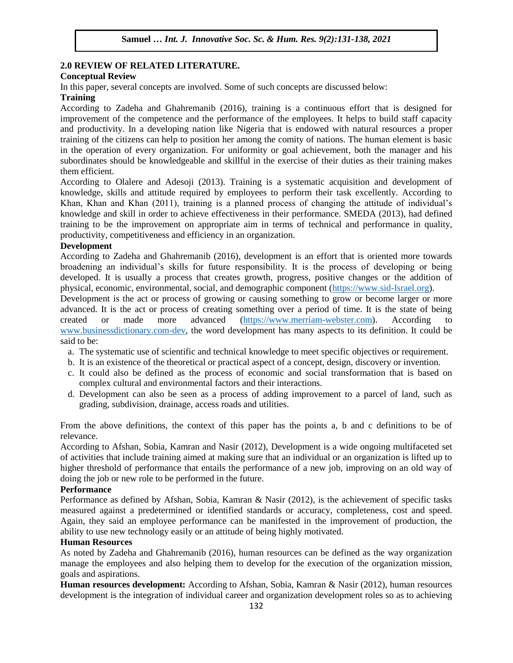### **2.0 REVIEW OF RELATED LITERATURE. Conceptual Review**<br>
Conceptual Review

In this paper, several concepts are involved. Some of such concepts are discussed below:

#### **Training**

According to Zadeha and Ghahremanib (2016), training is a continuous effort that is designed for improvement of the competence and the performance of the employees. It helps to build staff capacity improvement and productivity. In a developing nation like Nigeria that is endowed with natural resources a proper training of the citizens can help to position her among the comity of nations. The human element is basic in the operation of every organization. For uniformity or goal achievement, both the manager and his subordinates should be knowledgeable and skillful in the exercise of their duties as their training makes subordinates should be knowledgeable and skillful in the exercise of their duties as their training makes them efficient.

According to Olalere and Adesoji (2013). Training is a systematic acquisition and development of knowledge, skills and attitude required by employees to perform their task excellently. According to Experience and Khan (2011), training is a planned process of changing the attitude of individual's Khan and Khan (2011), training is a planned process of changing the attitude of individual's knowledge and skill in order to achieve effectiveness in their performance. SMEDA (2013), had defined training to be the improvement on appropriate aim in terms of technical and performance in quality, productivity, competitiveness and efficiency in an organization. Army, Compount Cross and Critician for the Segments.

#### **Development**

According to Zadeha and Ghahremanib (2016), development is an effort that is oriented more towards broadening an individual's skills for future responsibility. It is the process of developing or being developed. It is usually a process that creates growth, progress, positive changes or the addition of physical, economic, environmental, social, and demographic component [\(https://www.sid-Israel.org\)](https://www.sid-israel.org/).

Development is the act or process of growing or causing something to grow or become larger or more advanced. It is the act or process of creating something over a period of time. It is the state of being created or made more advanced [\(https://www.merriam-webster.com\)](https://www.merriam-webster.com/). According to [www.businessdictionary.com-dev,](http://www.businessdictionary.com-dev/) the word development has many aspects to its definition. It could be said to be:

- a. The systematic use of scientific and technical knowledge to meet specific objectives or requirement.
- b. It is an existence of the theoretical or practical aspect of a concept, design, discovery or invention.
- c. It could also be defined as the process of economic and social transformation that is based on complex cultural and environmental factors and their interactions.
- d. Development can also be seen as a process of adding improvement to a parcel of land, such as grading, subdivision, drainage, access roads and utilities.

From the above definitions, the context of this paper has the points a, b and c definitions to be of relevance.

According to Afshan, Sobia, Kamran and Nasir (2012), Development is a wide ongoing multifaceted set of activities that include training aimed at making sure that an individual or an organization is lifted up to higher threshold of performance that entails the performance of a new job, improving on an old way of doing the job or new role to be performed in the future.

#### **Performance**

Performance as defined by Afshan, Sobia, Kamran & Nasir (2012), is the achievement of specific tasks measured against a predetermined or identified standards or accuracy, completeness, cost and speed. Again, they said an employee performance can be manifested in the improvement of production, the ability to use new technology easily or an attitude of being highly motivated.

#### **Human Resources**

As noted by Zadeha and Ghahremanib (2016), human resources can be defined as the way organization manage the employees and also helping them to develop for the execution of the organization mission, goals and aspirations.

**Human resources development:** According to Afshan, Sobia, Kamran & Nasir (2012), human resources development is the integration of individual career and organization development roles so as to achieving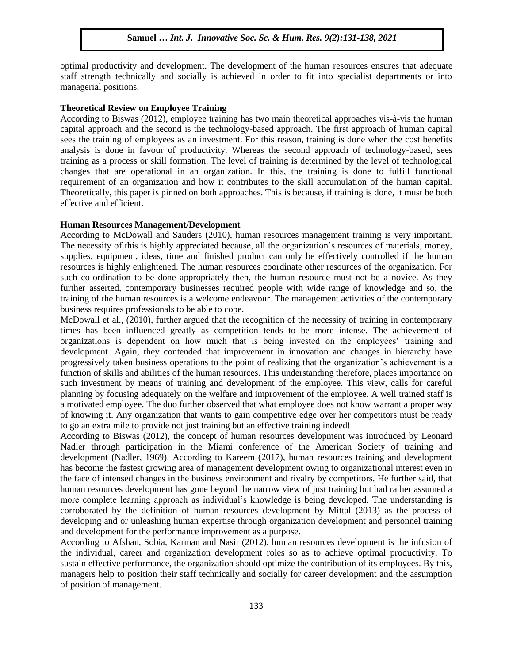optimal productivity and development. The development of the human resources ensures that adequate optimal productivity and development. The development of the human resources ensures that adequate staff strength technically and socially is achieved in order to fit into specialist departments or into managerial positions.

#### **Theoretical Review on Employee Training**

**Theoretical Review on Employee Training**<br>According to Biswas (2012), employee training has two main theoretical approaches vis-à-vis the human capital approach and the second is the technology-based approach. The first approach of human capital sees the training of employees as an investment. For this reason, training is done when the cost benefits analysis is done in favour of productivity. Whereas the second approach of technology-based, sees training as a process or skill formation. The level of training is determined by the level of technological training as a process or skill formation. The level of training is determined by the level of technological changes that are operational in an organization. In this, the training is done to fulfill functional requirement of an organization and how it contributes to the skill accumulation of the human capital. Theoretically, this paper is pinned on both approaches. This is because, if training is done, it must be both<br>offective and officient effective and efficient.

#### **Human Resources Management/Development**

According to McDowall and Sauders (2010), human resources management training is very important. The necessity of this is highly appreciated because, all the organization's resources of materials, money, supplies, equipment, ideas, time and finished product can only be effectively controlled if the human resources is highly enlightened. The human resources coordinate other resources of the organization. For such co-ordination to be done appropriately then, the human resource must not be a novice. As they further asserted, contemporary businesses required people with wide range of knowledge and so, the further training of the human resources is a welcome endeavour. The management activities of the contemporary business requires professionals to be able to cope.

McDowall et al., (2010), further argued that the recognition of the necessity of training in contemporary times has been influenced greatly as competition tends to be more intense. The achievement of organizations is dependent on how much that is being invested on the employees' training and development. Again, they contended that improvement in innovation and changes in hierarchy have progressively taken business operations to the point of realizing that the organization's achievement is a function of skills and abilities of the human resources. This understanding therefore, places importance on such investment by means of training and development of the employee. This view, calls for careful planning by focusing adequately on the welfare and improvement of the employee. A well trained staff is a motivated employee. The duo further observed that what employee does not know warrant a proper way of knowing it. Any organization that wants to gain competitive edge over her competitors must be ready to go an extra mile to provide not just training but an effective training indeed!

According to Biswas (2012), the concept of human resources development was introduced by Leonard Nadler through participation in the Miami conference of the American Society of training and development (Nadler, 1969). According to Kareem (2017), human resources training and development has become the fastest growing area of management development owing to organizational interest even in the face of intensed changes in the business environment and rivalry by competitors. He further said, that human resources development has gone beyond the narrow view of just training but had rather assumed a more complete learning approach as individual's knowledge is being developed. The understanding is corroborated by the definition of human resources development by Mittal (2013) as the process of developing and or unleashing human expertise through organization development and personnel training and development for the performance improvement as a purpose.

According to Afshan, Sobia, Karman and Nasir (2012), human resources development is the infusion of the individual, career and organization development roles so as to achieve optimal productivity. To sustain effective performance, the organization should optimize the contribution of its employees. By this, managers help to position their staff technically and socially for career development and the assumption of position of management.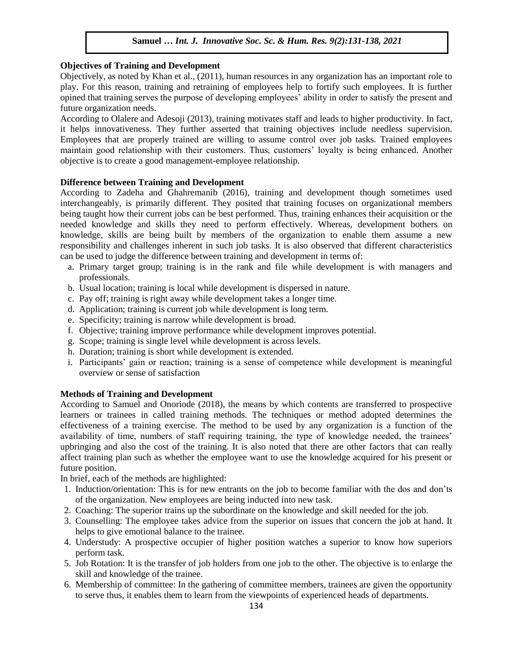### **Objectives of Training and Development**

Objectively, as noted by Khan et al.,  $(2011)$ , human resources in any organization has an important role to play. For this reason, training and retraining of employees help to fortify such employees. It is further opined that training serves the purpose of developing employees' ability in order to satisfy the present and future organization needs.

According to Olalere and Adesoji (2013), training motivates staff and leads to higher productivity. In fact, it helps innovativeness. They further asserted that training objectives include needless supervision. Employees that are properly trained are willing to assume control over job tasks. Trained employees maintain good relationship with their customers. Thus, customers' loyalty is being enhanced. Another objective is to create a good management-employee relationship.

# **Difference between Training and Development**

According to Zadeha and Ghahremanib (2016), training and development though sometimes used interchangeably, is primarily different. They posited that training focuses on organizational members being taught how their current jobs can be best performed. Thus, training enhances their acquisition or the needed knowledge and skills they need to perform effectively. Whereas, development bothers on knowledge, skills are being built by members of the organization to enable them assume a new responsibility and challenges inherent in such job tasks. It is also observed that different characteristics can be used to judge the difference between training and development in terms of:

- a. Primary target group; training is in the rank and file while development is with managers and professionals.
- b. Usual location; training is local while development is dispersed in nature.
- c. Pay off; training is right away while development takes a longer time.
- d. Application; training is current job while development is long term.
- e. Specificity; training is narrow while development is broad.
- f. Objective; training improve performance while development improves potential.
- g. Scope; training is single level while development is across levels.
- h. Duration; training is short while development is extended.
- i. Participants' gain or reaction; training is a sense of competence while development is meaningful overview or sense of satisfaction

# **Methods of Training and Development**

According to Samuel and Onoriode (2018), the means by which contents are transferred to prospective learners or trainees in called training methods. The techniques or method adopted determines the effectiveness of a training exercise. The method to be used by any organization is a function of the availability of time, numbers of staff requiring training, the type of knowledge needed, the trainees' upbringing and also the cost of the training. It is also noted that there are other factors that can really affect training plan such as whether the employee want to use the knowledge acquired for his present or future position.

In brief, each of the methods are highlighted:

- 1. Induction/orientation: This is for new entrants on the job to become familiar with the dos and don'ts of the organization. New employees are being inducted into new task.
- 2. Coaching: The superior trains up the subordinate on the knowledge and skill needed for the job.
- 3. Counselling: The employee takes advice from the superior on issues that concern the job at hand. It helps to give emotional balance to the trainee.
- 4. Understudy: A prospective occupier of higher position watches a superior to know how superiors perform task.
- 5. Job Rotation: It is the transfer of job holders from one job to the other. The objective is to enlarge the skill and knowledge of the trainee.
- 6. Membership of committee: In the gathering of committee members, trainees are given the opportunity to serve thus, it enables them to learn from the viewpoints of experienced heads of departments.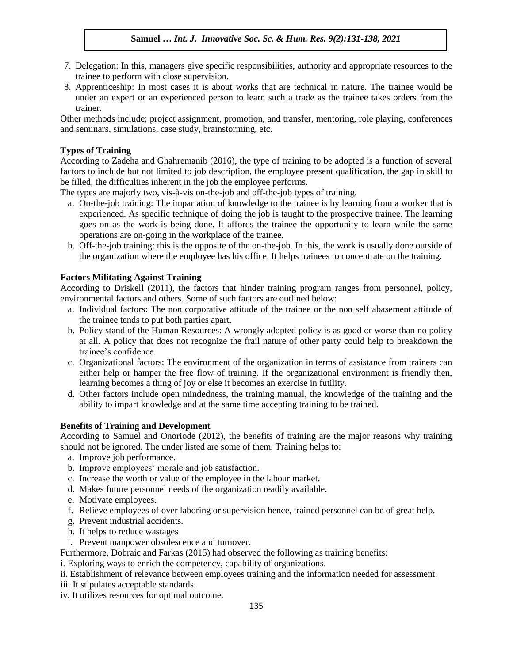- 7. Delegation: In this, managers give specific responsibilities, authority and appropriate resources to the Belogation. In this, managers give specific responsionties, authority and appli-<br>trainee to perform with close supervision.
- 8. Apprenticeship: In most cases it is about works that are technical in nature. The trainee would be under an expert or an experienced person to learn such a trade as the trainee takes orders from the trainer.

numer.<br>Other methods include; project assignment, promotion, and transfer, mentoring, role playing, conferences and seminars, simulations, case study, brainstorming, etc.

### **Types of Training**

According to Zadeha and Ghahremanib (2016), the type of training to be adopted is a function of several factors to include but not limited to job description, the employee present qualification, the gap in skill to be filled, the difficulties inherent in the job the employee performs.

The types are majorly two, vis-à-vis on-the-job and off-the-job types of training.

- a. On-the-job training: The impartation of knowledge to the trainee is by learning from a worker that is experienced. As specific technique of doing the job is taught to the prospective trainee. The learning goes on as the work is being done. It affords the trainee the opportunity to learn while the same operations are on-going in the workplace of the trainee.
- b. Off-the-job training: this is the opposite of the on-the-job. In this, the work is usually done outside of the organization where the employee has his office. It helps trainees to concentrate on the training.

#### **Factors Militating Against Training**

According to Driskell (2011), the factors that hinder training program ranges from personnel, policy, environmental factors and others. Some of such factors are outlined below:

- a. Individual factors: The non corporative attitude of the trainee or the non self abasement attitude of the trainee tends to put both parties apart.
- b. Policy stand of the Human Resources: A wrongly adopted policy is as good or worse than no policy at all. A policy that does not recognize the frail nature of other party could help to breakdown the trainee's confidence.
- c. Organizational factors: The environment of the organization in terms of assistance from trainers can either help or hamper the free flow of training. If the organizational environment is friendly then, learning becomes a thing of joy or else it becomes an exercise in futility.
- d. Other factors include open mindedness, the training manual, the knowledge of the training and the ability to impart knowledge and at the same time accepting training to be trained.

#### **Benefits of Training and Development**

According to Samuel and Onoriode (2012), the benefits of training are the major reasons why training should not be ignored. The under listed are some of them. Training helps to:

- a. Improve job performance.
- b. Improve employees' morale and job satisfaction.
- c. Increase the worth or value of the employee in the labour market.
- d. Makes future personnel needs of the organization readily available.
- e. Motivate employees.
- f. Relieve employees of over laboring or supervision hence, trained personnel can be of great help.
- g. Prevent industrial accidents.
- h. It helps to reduce wastages
- i. Prevent manpower obsolescence and turnover.

Furthermore, Dobraic and Farkas (2015) had observed the following as training benefits:

i. Exploring ways to enrich the competency, capability of organizations.

ii. Establishment of relevance between employees training and the information needed for assessment.

iii. It stipulates acceptable standards.

iv. It utilizes resources for optimal outcome.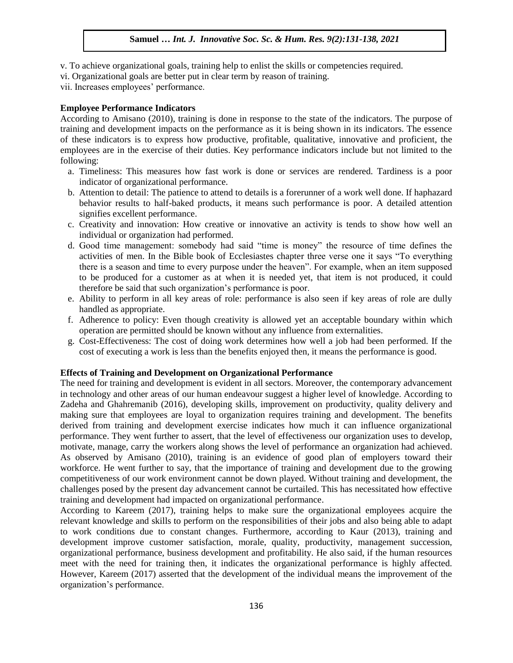- v. To achieve organizational goals, training help to enlist the skills or competencies required.
- vi. To define to organizational goals, training help to effine the skins of competence.<br>Vi. Organizational goals are better put in clear term by reason of training.

vii. Increases employees' performance.

### **Employee Performance Indicators**

Emproyet I critically market indicators<br>According to Amisano (2010), training is done in response to the state of the indicators. The purpose of training and development impacts on the performance as it is being shown in its indicators. The essence of these indicators is to express how productive, profitable, qualitative, innovative and proficient, the employees are in the exercise of their duties. Key performance indicators include but not limited to the following: Arugu & Wood are in the Universe of their testator floy performance interested include

- a. Timeliness: This measures how fast work is done or services are rendered. Tardiness is a poor indicator of organizational performance.
- b. Attention to detail: The patience to attend to details is a forerunner of a work well done. If haphazard behavior results to half-baked products, it means such performance is poor. A detailed attention signifies excellent performance.
- c. Creativity and innovation: How creative or innovative an activity is tends to show how well an individual or organization had performed.
- d. Good time management: somebody had said "time is money" the resource of time defines the activities of men. In the Bible book of Ecclesiastes chapter three verse one it says "To everything there is a season and time to every purpose under the heaven". For example, when an item supposed to be produced for a customer as at when it is needed yet, that item is not produced, it could therefore be said that such organization's performance is poor.
- e. Ability to perform in all key areas of role: performance is also seen if key areas of role are dully handled as appropriate.
- f. Adherence to policy: Even though creativity is allowed yet an acceptable boundary within which  $\overline{\text{L}}$  operation are permitted should be known without any influence from externalities.
- g. Cost-Effectiveness: The cost of doing work determines how well a job had been performed. If the cost of executing a work is less than the benefits enjoyed then, it means the performance is good.

#### **Effects of Training and Development on Organizational Performance**

The need for training and development is evident in all sectors. Moreover, the contemporary advancement in technology and other areas of our human endeavour suggest a higher level of knowledge. According to Zadeha and Ghahremanib (2016), developing skills, improvement on productivity, quality delivery and making sure that employees are loyal to organization requires training and development. The benefits derived from training and development exercise indicates how much it can influence organizational performance. They went further to assert, that the level of effectiveness our organization uses to develop, motivate, manage, carry the workers along shows the level of performance an organization had achieved. As observed by Amisano (2010), training is an evidence of good plan of employers toward their workforce. He went further to say, that the importance of training and development due to the growing competitiveness of our work environment cannot be down played. Without training and development, the challenges posed by the present day advancement cannot be curtailed. This has necessitated how effective training and development had impacted on organizational performance.

According to Kareem (2017), training helps to make sure the organizational employees acquire the relevant knowledge and skills to perform on the responsibilities of their jobs and also being able to adapt to work conditions due to constant changes. Furthermore, according to Kaur (2013), training and development improve customer satisfaction, morale, quality, productivity, management succession, organizational performance, business development and profitability. He also said, if the human resources meet with the need for training then, it indicates the organizational performance is highly affected. However, Kareem (2017) asserted that the development of the individual means the improvement of the organization's performance.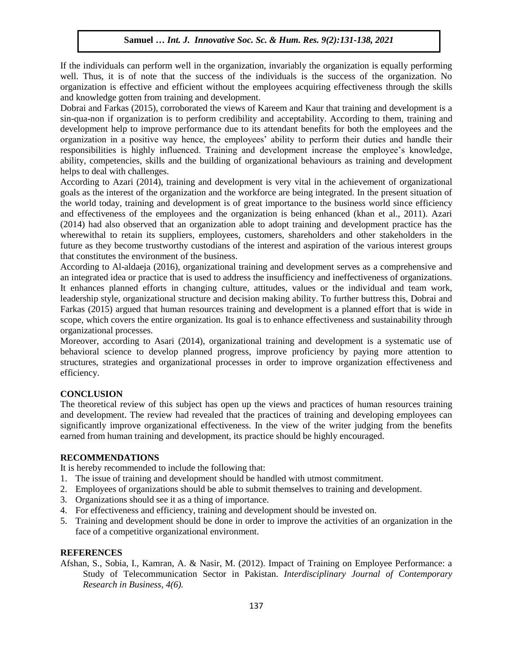If the individuals can perform well in the organization, invariably the organization is equally performing well. Thus, it is of note that the success of the individuals is the success of the organization. No well. organization is effective and efficient without the employees acquiring effectiveness through the skills and knowledge gotten from training and development.

Dobrai and Farkas (2015), corroborated the views of Kareem and Kaur that training and development is a sin-qua-non if organization is to perform credibility and acceptability. According to them, training and sin-qua-non if organization is to perform credibility and acceptability. According to them, training and development help to improve performance due to its attendant benefits for both the employees and the organization in a positive way hence, the employees' ability to perform their duties and handle their responsibilities is highly influenced. Training and development increase the employee's knowledge, ability, competencies, skills and the building of organizational behaviours as training and development helps to deal with challenges.

According to Azari (2014), training and development is very vital in the achievement of organizational goals as the interest of the organization and the workforce are being integrated. In the present situation of the world today, training and development is of great importance to the business world since efficiency and effectiveness of the employees and the organization is being enhanced (khan et al., 2011). Azari (2014) had also observed that an organization able to adopt training and development practice has the wherewithal to retain its suppliers, employees, customers, shareholders and other stakeholders in the future as they become trustworthy custodians of the interest and aspiration of the various interest groups that constitutes the environment of the business.

According to Al-aldaeja (2016), organizational training and development serves as a comprehensive and an integrated idea or practice that is used to address the insufficiency and ineffectiveness of organizations. It enhances planned efforts in changing culture, attitudes, values or the individual and team work, leadership style, organizational structure and decision making ability. To further buttress this, Dobrai and Farkas (2015) argued that human resources training and development is a planned effort that is wide in scope, which covers the entire organization. Its goal is to enhance effectiveness and sustainability through organizational processes.

Moreover, according to Asari (2014), organizational training and development is a systematic use of behavioral science to develop planned progress, improve proficiency by paying more attention to structures, strategies and organizational processes in order to improve organization effectiveness and efficiency.

# **CONCLUSION**

The theoretical review of this subject has open up the views and practices of human resources training and development. The review had revealed that the practices of training and developing employees can significantly improve organizational effectiveness. In the view of the writer judging from the benefits earned from human training and development, its practice should be highly encouraged.

#### **RECOMMENDATIONS**

It is hereby recommended to include the following that:

- 1. The issue of training and development should be handled with utmost commitment.
- 2. Employees of organizations should be able to submit themselves to training and development.
- 3. Organizations should see it as a thing of importance.
- 4. For effectiveness and efficiency, training and development should be invested on.
- 5. Training and development should be done in order to improve the activities of an organization in the face of a competitive organizational environment.

#### **REFERENCES**

Afshan, S., Sobia, I., Kamran, A. & Nasir, M. (2012). Impact of Training on Employee Performance: a Study of Telecommunication Sector in Pakistan. *Interdisciplinary Journal of Contemporary Research in Business, 4(6).*